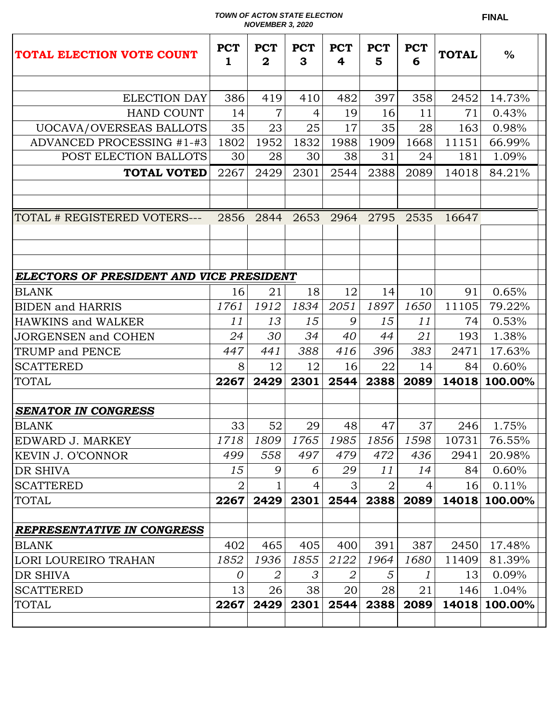## *TOWN OF ACTON STATE ELECTION NOVEMBER 3, 2020*

| TOTAL ELECTION VOTE COUNT                | <b>PCT</b><br>1 | <b>PCT</b><br>$\mathbf 2$ | <b>PCT</b><br>3 | <b>PCT</b><br>4 | <b>PCT</b><br>5 | <b>PCT</b><br>6 | <b>TOTAL</b> | $\frac{0}{0}$ |  |
|------------------------------------------|-----------------|---------------------------|-----------------|-----------------|-----------------|-----------------|--------------|---------------|--|
|                                          |                 |                           |                 |                 |                 |                 |              |               |  |
| <b>ELECTION DAY</b>                      | 386             | 419                       | 410             | 482             | 397             | 358             | 2452         | 14.73%        |  |
| <b>HAND COUNT</b>                        | 14              | 7                         | 4               | 19              | 16              | 11              | 71           | 0.43%         |  |
| UOCAVA/OVERSEAS BALLOTS                  | 35              | 23                        | 25              | 17              | 35              | 28              | 163          | 0.98%         |  |
| ADVANCED PROCESSING #1-#3                | 1802            | 1952                      | 1832            | 1988            | 1909            | 1668            | 11151        | 66.99%        |  |
| POST ELECTION BALLOTS                    | 30              | 28                        | 30              | 38              | 31              | 24              | 181          | 1.09%         |  |
| <b>TOTAL VOTED</b>                       | 2267            | 2429                      | 2301            | 2544            | 2388            | 2089            | 14018        | 84.21%        |  |
|                                          |                 |                           |                 |                 |                 |                 |              |               |  |
|                                          |                 |                           |                 |                 |                 |                 |              |               |  |
| TOTAL # REGISTERED VOTERS---             | 2856            | 2844                      | 2653            |                 | 2964 2795       | 2535            | 16647        |               |  |
|                                          |                 |                           |                 |                 |                 |                 |              |               |  |
|                                          |                 |                           |                 |                 |                 |                 |              |               |  |
|                                          |                 |                           |                 |                 |                 |                 |              |               |  |
| ELECTORS OF PRESIDENT AND VICE PRESIDENT |                 |                           |                 |                 |                 |                 |              |               |  |
| BLANK                                    | 16<br>1761      | 21<br>1912                | 18<br>1834      | 12<br>2051      | 14<br>1897      | 10<br>1650      | 91<br>11105  | 0.65%         |  |
| <b>BIDEN</b> and HARRIS                  |                 |                           |                 | 9               |                 |                 |              | 79.22%        |  |
| <b>HAWKINS and WALKER</b>                | 11              | 13                        | 15              |                 | 15              | 11              | 74           | 0.53%         |  |
| JORGENSEN and COHEN                      | 24              | 30                        | 34              | 40              | 44              | 21              | 193          | 1.38%         |  |
| TRUMP and PENCE                          | 447             | 441                       | 388             | 416             | 396             | 383             | 2471         | 17.63%        |  |
| <b>SCATTERED</b>                         | 8               | 12                        | 12              | 16              | 22              | 14              | 84           | 0.60%         |  |
| <b>TOTAL</b>                             | 2267            | 2429                      | 2301            | 2544            | 2388            | 2089            | 14018        | 100.00%       |  |
| <b>SENATOR IN CONGRESS</b>               |                 |                           |                 |                 |                 |                 |              |               |  |
| BLANK                                    | 33              | 52                        | 29              | 48              | 47              | 37              | 246          | 1.75%         |  |
| EDWARD J. MARKEY                         | 1718            | 1809                      | 1765            | 1985            | 1856            | 1598            | 10731        | 76.55%        |  |
| KEVIN J. O'CONNOR                        | 499             | 558                       | 497             | 479             | 472             | 436             | 2941         | 20.98%        |  |
| DR SHIVA                                 | 15              | 9                         | 6               | 29              | 11              | 14              | 84           | 0.60%         |  |
| SCATTERED                                | $\overline{2}$  |                           | 4               | 3               | 2               | 4               | 16           | 0.11%         |  |
| TOTAL                                    | 2267            | 2429                      | 2301            | 2544            | 2388            | 2089            | 14018        | 100.00%       |  |
|                                          |                 |                           |                 |                 |                 |                 |              |               |  |
| <b>REPRESENTATIVE IN CONGRESS</b>        |                 |                           |                 |                 |                 |                 |              |               |  |
| BLANK                                    | 402             | 465                       | 405             | 400             | 391             | 387             | 2450         | 17.48%        |  |
| LORI LOUREIRO TRAHAN                     | 1852            | 1936                      | 1855            | 2122            | 1964            | 1680            | 11409        | 81.39%        |  |
| DR SHIVA                                 | 0               | 2                         | 3               | 2               | 5               | 1               | 13           | 0.09%         |  |
| SCATTERED                                | 13              | 26                        | 38              | 20              | 28              | 21              | 146          | 1.04%         |  |
| TOTAL                                    | 2267            | 2429                      | 2301            | 2544            | 2388            | 2089            | 14018        | 100.00%       |  |
|                                          |                 |                           |                 |                 |                 |                 |              |               |  |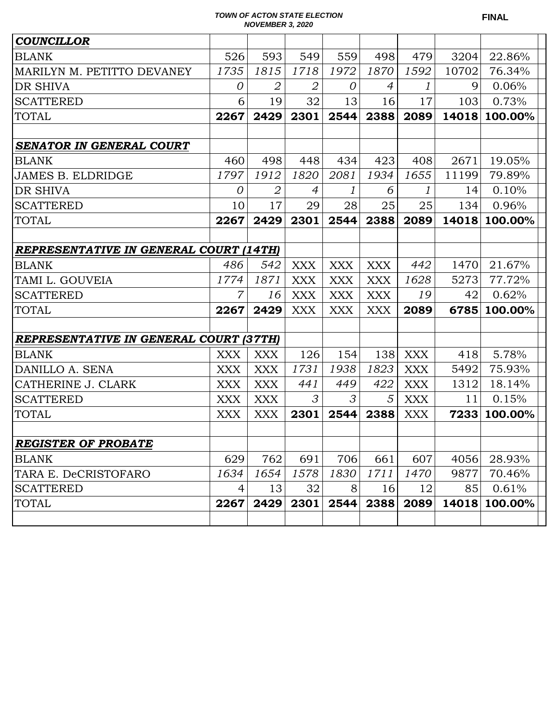## *TOWN OF ACTON STATE ELECTION NOVEMBER 3, 2020*

| <b>COUNCILLOR</b>                             |                |                |                |                |            |            |       |         |
|-----------------------------------------------|----------------|----------------|----------------|----------------|------------|------------|-------|---------|
| <b>BLANK</b>                                  | 526            | 593            | 549            | 559            | 498        | 479        | 3204  | 22.86%  |
| MARILYN M. PETITTO DEVANEY                    | 1735           | 1815           | 1718           | 1972           | 1870       | 1592       | 10702 | 76.34%  |
| <b>DR SHIVA</b>                               | $\overline{0}$ | $\overline{2}$ | 2              | $\overline{O}$ | 4          | 1          | 9     | 0.06%   |
| <b>SCATTERED</b>                              | 6              | 19             | 32             | 13             | 16         | 17         | 103   | 0.73%   |
| <b>TOTAL</b>                                  | 2267           | 2429           | 2301           | 2544           | 2388       | 2089       | 14018 | 100.00% |
|                                               |                |                |                |                |            |            |       |         |
| <b>SENATOR IN GENERAL COURT</b>               |                |                |                |                |            |            |       |         |
| <b>BLANK</b>                                  | 460            | 498            | 448            | 434            | 423        | 408        | 2671  | 19.05%  |
| <b>JAMES B. ELDRIDGE</b>                      | 1797           | 1912           | 1820           | 2081           | 1934       | 1655       | 11199 | 79.89%  |
| <b>DR SHIVA</b>                               | $\theta$       | $\overline{2}$ | $\overline{4}$ | 1              | 6          | 1          | 14    | 0.10%   |
| <b>SCATTERED</b>                              | 10             | 17             | 29             | 28             | 25         | 25         | 134   | 0.96%   |
| <b>TOTAL</b>                                  | 2267           | 2429           | 2301           | 2544           | 2388       | 2089       | 14018 | 100.00% |
|                                               |                |                |                |                |            |            |       |         |
| <b>REPRESENTATIVE IN GENERAL COURT (14TH)</b> |                |                |                |                |            |            |       |         |
| <b>BLANK</b>                                  | 486            | 542            | <b>XXX</b>     | <b>XXX</b>     | <b>XXX</b> | 442        | 1470  | 21.67%  |
| TAMI L. GOUVEIA                               | 1774           | 1871           | <b>XXX</b>     | <b>XXX</b>     | <b>XXX</b> | 1628       | 5273  | 77.72%  |
| <b>SCATTERED</b>                              | $\overline{7}$ | 16             | <b>XXX</b>     | <b>XXX</b>     | <b>XXX</b> | 19         | 42    | 0.62%   |
| <b>TOTAL</b>                                  | 2267           | 2429           | <b>XXX</b>     | <b>XXX</b>     | <b>XXX</b> | 2089       | 6785  | 100.00% |
|                                               |                |                |                |                |            |            |       |         |
| <b>REPRESENTATIVE IN GENERAL COURT (37TH)</b> |                |                |                |                |            |            |       |         |
| <b>BLANK</b>                                  | <b>XXX</b>     | <b>XXX</b>     | 126            | 154            | 138        | <b>XXX</b> | 418   | 5.78%   |
| DANILLO A. SENA                               | XXX            | <b>XXX</b>     | 1731           | 1938           | 1823       | <b>XXX</b> | 5492  | 75.93%  |
| CATHERINE J. CLARK                            | XXX            | <b>XXX</b>     | 441            | 449            | 422        | <b>XXX</b> | 1312  | 18.14%  |
| <b>SCATTERED</b>                              | XXX            | <b>XXX</b>     | 3              | 3              | 5          | <b>XXX</b> | 11    | 0.15%   |
| <b>TOTAL</b>                                  | <b>XXX</b>     | <b>XXX</b>     | 2301           | 2544           | 2388       | <b>XXX</b> | 7233  | 100.00% |
|                                               |                |                |                |                |            |            |       |         |
| <b>REGISTER OF PROBATE</b>                    |                |                |                |                |            |            |       |         |
| <b>BLANK</b>                                  | 629            | 762            | 691            | 706            | 661        | 607        | 4056  | 28.93%  |
| TARA E. DeCRISTOFARO                          | 1634           | 1654           | 1578           | 1830           | 1711       | 1470       | 9877  | 70.46%  |
| <b>SCATTERED</b>                              | 4              | 13             | 32             | 8              | 16         | 12         | 85    | 0.61%   |
| <b>TOTAL</b>                                  | 2267           | 2429           | 2301           | 2544           | 2388       | 2089       | 14018 | 100.00% |
|                                               |                |                |                |                |            |            |       |         |

**FINAL**